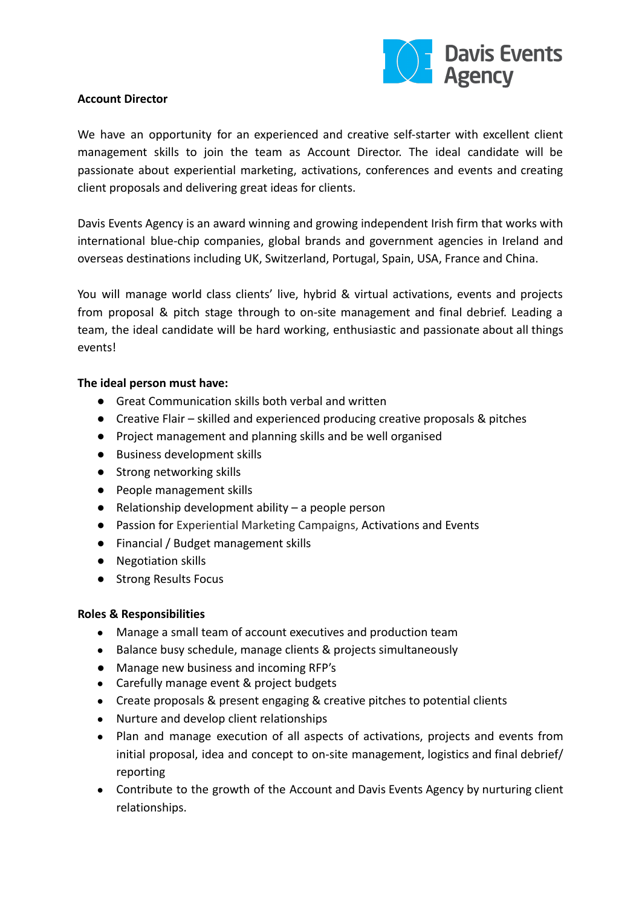

## **Account Director**

We have an opportunity for an experienced and creative self-starter with excellent client management skills to join the team as Account Director. The ideal candidate will be passionate about experiential marketing, activations, conferences and events and creating client proposals and delivering great ideas for clients.

Davis Events Agency is an award winning and growing independent Irish firm that works with international blue-chip companies, global brands and government agencies in Ireland and overseas destinations including UK, Switzerland, Portugal, Spain, USA, France and China.

You will manage world class clients' live, hybrid & virtual activations, events and projects from proposal & pitch stage through to on-site management and final debrief. Leading a team, the ideal candidate will be hard working, enthusiastic and passionate about all things events!

## **The ideal person must have:**

- Great Communication skills both verbal and written
- Creative Flair skilled and experienced producing creative proposals & pitches
- Project management and planning skills and be well organised
- Business development skills
- Strong networking skills
- People management skills
- $\bullet$  Relationship development ability a people person
- Passion for Experiential Marketing Campaigns, Activations and Events
- Financial / Budget management skills
- Negotiation skills
- Strong Results Focus

## **Roles & Responsibilities**

- Manage a small team of account executives and production team
- Balance busy schedule, manage clients & projects simultaneously
- Manage new business and incoming RFP's
- Carefully manage event & project budgets
- Create proposals & present engaging & creative pitches to potential clients
- Nurture and develop client relationships
- Plan and manage execution of all aspects of activations, projects and events from initial proposal, idea and concept to on-site management, logistics and final debrief/ reporting
- Contribute to the growth of the Account and Davis Events Agency by nurturing client relationships.